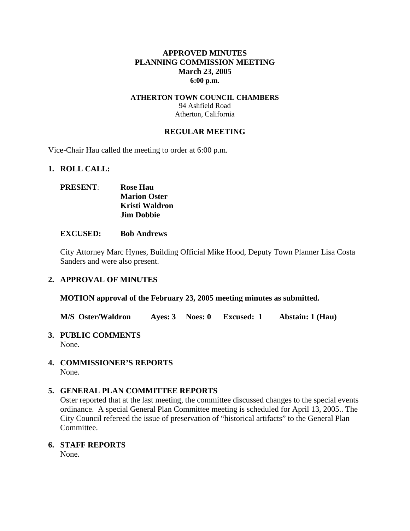### **APPROVED MINUTES PLANNING COMMISSION MEETING March 23, 2005 6:00 p.m.**

### **ATHERTON TOWN COUNCIL CHAMBERS**  94 Ashfield Road Atherton, California

### **REGULAR MEETING**

Vice-Chair Hau called the meeting to order at 6:00 p.m.

### **1. ROLL CALL:**

| <b>PRESENT:</b> | <b>Rose Hau</b>     |
|-----------------|---------------------|
|                 | <b>Marion Oster</b> |
|                 | Kristi Waldron      |
|                 | <b>Jim Dobbie</b>   |

#### **EXCUSED: Bob Andrews**

City Attorney Marc Hynes, Building Official Mike Hood, Deputy Town Planner Lisa Costa Sanders and were also present.

### **2. APPROVAL OF MINUTES**

**MOTION approval of the February 23, 2005 meeting minutes as submitted.** 

**M/S Oster/Waldron Ayes: 3 Noes: 0 Excused: 1 Abstain: 1 (Hau)** 

**3. PUBLIC COMMENTS** 

None.

**4. COMMISSIONER'S REPORTS**  None.

### **5. GENERAL PLAN COMMITTEE REPORTS**

Oster reported that at the last meeting, the committee discussed changes to the special events ordinance. A special General Plan Committee meeting is scheduled for April 13, 2005.. The City Council refereed the issue of preservation of "historical artifacts" to the General Plan Committee.

**6. STAFF REPORTS** 

None.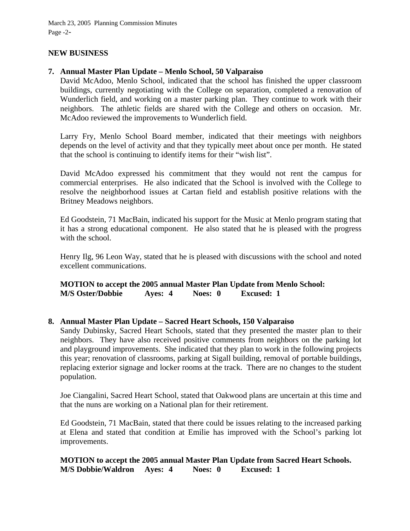March 23, 2005 Planning Commission Minutes Page -2-

### **NEW BUSINESS**

### **7. Annual Master Plan Update – Menlo School, 50 Valparaiso**

David McAdoo, Menlo School, indicated that the school has finished the upper classroom buildings, currently negotiating with the College on separation, completed a renovation of Wunderlich field, and working on a master parking plan. They continue to work with their neighbors. The athletic fields are shared with the College and others on occasion. Mr. McAdoo reviewed the improvements to Wunderlich field.

Larry Fry, Menlo School Board member, indicated that their meetings with neighbors depends on the level of activity and that they typically meet about once per month. He stated that the school is continuing to identify items for their "wish list".

David McAdoo expressed his commitment that they would not rent the campus for commercial enterprises. He also indicated that the School is involved with the College to resolve the neighborhood issues at Cartan field and establish positive relations with the Britney Meadows neighbors.

Ed Goodstein, 71 MacBain, indicated his support for the Music at Menlo program stating that it has a strong educational component. He also stated that he is pleased with the progress with the school.

Henry Ilg, 96 Leon Way, stated that he is pleased with discussions with the school and noted excellent communications.

**MOTION to accept the 2005 annual Master Plan Update from Menlo School: M/S Oster/Dobbie Ayes: 4 Noes: 0 Excused: 1** 

### **8. Annual Master Plan Update – Sacred Heart Schools, 150 Valparaiso**

Sandy Dubinsky, Sacred Heart Schools, stated that they presented the master plan to their neighbors. They have also received positive comments from neighbors on the parking lot and playground improvements. She indicated that they plan to work in the following projects this year; renovation of classrooms, parking at Sigall building, removal of portable buildings, replacing exterior signage and locker rooms at the track. There are no changes to the student population.

Joe Ciangalini, Sacred Heart School, stated that Oakwood plans are uncertain at this time and that the nuns are working on a National plan for their retirement.

Ed Goodstein, 71 MacBain, stated that there could be issues relating to the increased parking at Elena and stated that condition at Emilie has improved with the School's parking lot improvements.

**MOTION to accept the 2005 annual Master Plan Update from Sacred Heart Schools. M/S Dobbie/Waldron Ayes: 4 Noes: 0 Excused: 1**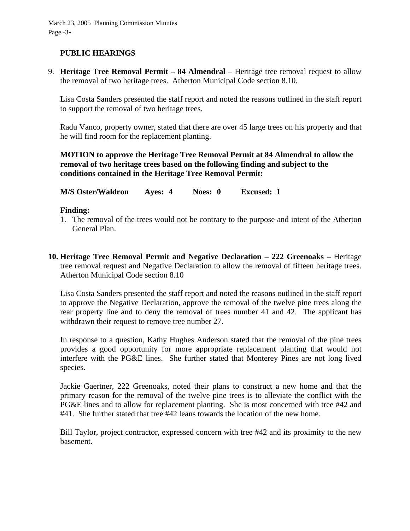# **PUBLIC HEARINGS**

9. **Heritage Tree Removal Permit – 84 Almendral** – Heritage tree removal request to allow the removal of two heritage trees. Atherton Municipal Code section 8.10.

Lisa Costa Sanders presented the staff report and noted the reasons outlined in the staff report to support the removal of two heritage trees.

Radu Vanco, property owner, stated that there are over 45 large trees on his property and that he will find room for the replacement planting.

**MOTION to approve the Heritage Tree Removal Permit at 84 Almendral to allow the removal of two heritage trees based on the following finding and subject to the conditions contained in the Heritage Tree Removal Permit:** 

**M/S Oster/Waldron Ayes: 4 Noes: 0 Excused: 1** 

### **Finding:**

- 1. The removal of the trees would not be contrary to the purpose and intent of the Atherton General Plan.
- **10. Heritage Tree Removal Permit and Negative Declaration 222 Greenoaks** Heritage tree removal request and Negative Declaration to allow the removal of fifteen heritage trees. Atherton Municipal Code section 8.10

Lisa Costa Sanders presented the staff report and noted the reasons outlined in the staff report to approve the Negative Declaration, approve the removal of the twelve pine trees along the rear property line and to deny the removal of trees number 41 and 42. The applicant has withdrawn their request to remove tree number 27.

In response to a question, Kathy Hughes Anderson stated that the removal of the pine trees provides a good opportunity for more appropriate replacement planting that would not interfere with the PG&E lines. She further stated that Monterey Pines are not long lived species.

Jackie Gaertner, 222 Greenoaks, noted their plans to construct a new home and that the primary reason for the removal of the twelve pine trees is to alleviate the conflict with the PG&E lines and to allow for replacement planting. She is most concerned with tree #42 and #41. She further stated that tree #42 leans towards the location of the new home.

Bill Taylor, project contractor, expressed concern with tree #42 and its proximity to the new basement.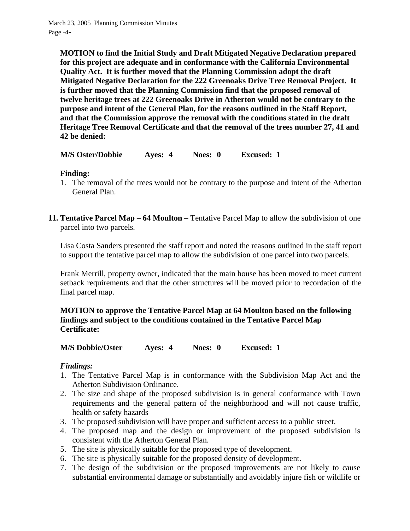**MOTION to find the Initial Study and Draft Mitigated Negative Declaration prepared for this project are adequate and in conformance with the California Environmental Quality Act. It is further moved that the Planning Commission adopt the draft Mitigated Negative Declaration for the 222 Greenoaks Drive Tree Removal Project. It is further moved that the Planning Commission find that the proposed removal of twelve heritage trees at 222 Greenoaks Drive in Atherton would not be contrary to the purpose and intent of the General Plan, for the reasons outlined in the Staff Report, and that the Commission approve the removal with the conditions stated in the draft Heritage Tree Removal Certificate and that the removal of the trees number 27, 41 and 42 be denied:** 

**M/S Oster/Dobbie Ayes: 4 Noes: 0 Excused: 1** 

# **Finding:**

- 1. The removal of the trees would not be contrary to the purpose and intent of the Atherton General Plan.
- **11. Tentative Parcel Map 64 Moulton Tentative Parcel Map to allow the subdivision of one** parcel into two parcels*.*

Lisa Costa Sanders presented the staff report and noted the reasons outlined in the staff report to support the tentative parcel map to allow the subdivision of one parcel into two parcels.

Frank Merrill, property owner, indicated that the main house has been moved to meet current setback requirements and that the other structures will be moved prior to recordation of the final parcel map.

# **MOTION to approve the Tentative Parcel Map at 64 Moulton based on the following findings and subject to the conditions contained in the Tentative Parcel Map Certificate:**

**M/S Dobbie/Oster Ayes: 4 Noes: 0 Excused: 1** 

# *Findings:*

- 1. The Tentative Parcel Map is in conformance with the Subdivision Map Act and the Atherton Subdivision Ordinance.
- 2. The size and shape of the proposed subdivision is in general conformance with Town requirements and the general pattern of the neighborhood and will not cause traffic, health or safety hazards
- 3. The proposed subdivision will have proper and sufficient access to a public street.
- 4. The proposed map and the design or improvement of the proposed subdivision is consistent with the Atherton General Plan.
- 5. The site is physically suitable for the proposed type of development.
- 6. The site is physically suitable for the proposed density of development.
- 7. The design of the subdivision or the proposed improvements are not likely to cause substantial environmental damage or substantially and avoidably injure fish or wildlife or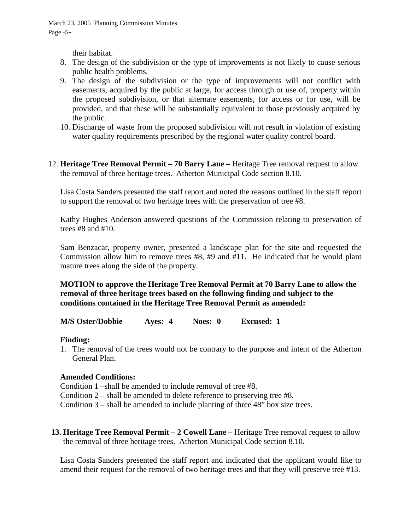their habitat.

- 8. The design of the subdivision or the type of improvements is not likely to cause serious public health problems.
- 9. The design of the subdivision or the type of improvements will not conflict with easements, acquired by the public at large, for access through or use of, property within the proposed subdivision, or that alternate easements, for access or for use, will be provided, and that these will be substantially equivalent to those previously acquired by the public.
- 10. Discharge of waste from the proposed subdivision will not result in violation of existing water quality requirements prescribed by the regional water quality control board.
- 12. **Heritage Tree Removal Permit 70 Barry Lane** Heritage Tree removal request to allow the removal of three heritage trees. Atherton Municipal Code section 8.10.

Lisa Costa Sanders presented the staff report and noted the reasons outlined in the staff report to support the removal of two heritage trees with the preservation of tree #8.

Kathy Hughes Anderson answered questions of the Commission relating to preservation of trees #8 and #10.

Sam Benzacar, property owner, presented a landscape plan for the site and requested the Commission allow him to remove trees #8, #9 and #11. He indicated that he would plant mature trees along the side of the property.

### **MOTION to approve the Heritage Tree Removal Permit at 70 Barry Lane to allow the removal of three heritage trees based on the following finding and subject to the conditions contained in the Heritage Tree Removal Permit as amended:**

**M/S Oster/Dobbie Ayes: 4 Noes: 0 Excused: 1** 

### **Finding:**

1. The removal of the trees would not be contrary to the purpose and intent of the Atherton General Plan.

# **Amended Conditions:**

Condition 1 –shall be amended to include removal of tree #8.

Condition 2 – shall be amended to delete reference to preserving tree #8.

Condition 3 – shall be amended to include planting of three 48" box size trees.

**13. Heritage Tree Removal Permit – 2 Cowell Lane – Heritage Tree removal request to allow** the removal of three heritage trees. Atherton Municipal Code section 8.10.

Lisa Costa Sanders presented the staff report and indicated that the applicant would like to amend their request for the removal of two heritage trees and that they will preserve tree #13.